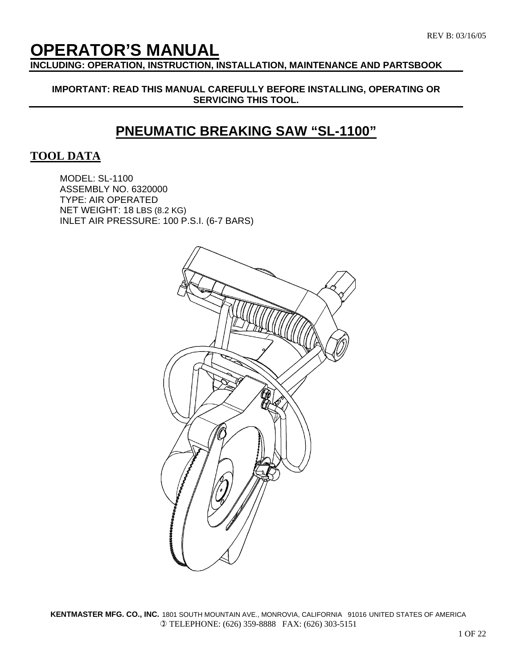# **OPERATOR'S MANUAL**

**INCLUDING: OPERATION, INSTRUCTION, INSTALLATION, MAINTENANCE AND PARTSBOOK** 

**IMPORTANT: READ THIS MANUAL CAREFULLY BEFORE INSTALLING, OPERATING OR SERVICING THIS TOOL.** 

# **PNEUMATIC BREAKING SAW "SL-1100"**

## **TOOL DATA**

MODEL: SL-1100 ASSEMBLY NO. 6320000 TYPE: AIR OPERATED NET WEIGHT: 18 LBS (8.2 KG) INLET AIR PRESSURE: 100 P.S.I. (6-7 BARS)

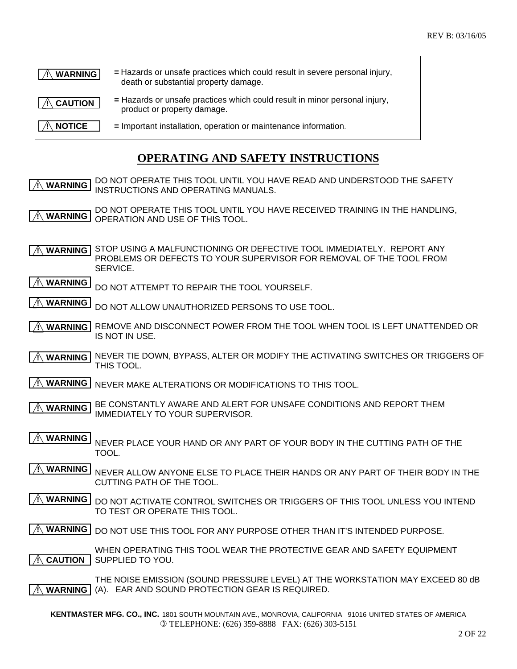| <b>WARNING</b> | = Hazards or unsafe practices which could result in severe personal injury,<br>death or substantial property damage. |
|----------------|----------------------------------------------------------------------------------------------------------------------|
| <b>CAUTION</b> | = Hazards or unsafe practices which could result in minor personal injury,<br>product or property damage.            |
| <b>NOTICE</b>  | = Important installation, operation or maintenance information.                                                      |

# **OPERATING AND SAFETY INSTRUCTIONS**

DO NOT OPERATE THIS TOOL UNTIL YOU HAVE READ AND UNDERSTOOD THE SAFETY INSTRUCTIONS AND OPERATING MANUALS.  **! WARNING**

DO NOT OPERATE THIS TOOL UNTIL YOU HAVE RECEIVED TRAINING IN THE HANDLING. OPERATION AND USE OF THIS TOOL.  **! WARNING**

A WARNING STOP USING A MALFUNCTIONING OR DEFECTIVE TOOL IMMEDIATELY. REPORT ANY PROBLEMS OR DEFECTS TO YOUR SUPERVISOR FOR REMOVAL OF THE TOOL FROM SERVICE.

- DO NOT ATTEMPT TO REPAIR THE TOOL YOURSELF.  **! WARNING**
- DO NOT ALLOW UNAUTHORIZED PERSONS TO USE TOOL.  **! WARNING**
- $\hat{\mathcal{A}}$  **WARNING REMOVE AND DISCONNECT POWER FROM THE TOOL WHEN TOOL IS LEFT UNATTENDED OR** IS NOT IN USE.
- A WARNING NEVER TIE DOWN, BYPASS, ALTER OR MODIFY THE ACTIVATING SWITCHES OR TRIGGERS OF THIS TOOL.
- **INEVER MAKE ALTERATIONS OR MODIFICATIONS TO THIS TOOL.**
- BE CONSTANTLY AWARE AND ALERT FOR UNSAFE CONDITIONS AND REPORT THEM IMMEDIATELY TO YOUR SUPERVISOR.  **! WARNING**
- NEVER PLACE YOUR HAND OR ANY PART OF YOUR BODY IN THE CUTTING PATH OF THE TOOL.  **! WARNING**
- NEVER ALLOW ANYONE ELSE TO PLACE THEIR HANDS OR ANY PART OF THEIR BODY IN THE CUTTING PATH OF THE TOOL.  **! WARNING**
- A WARNING DO NOT ACTIVATE CONTROL SWITCHES OR TRIGGERS OF THIS TOOL UNLESS YOU INTEND TO TEST OR OPERATE THIS TOOL.

**WARNING** DO NOT USE THIS TOOL FOR ANY PURPOSE OTHER THAN IT'S INTENDED PURPOSE.

WHEN OPERATING THIS TOOL WEAR THE PROTECTIVE GEAR AND SAFETY EQUIPMENT  $\hat{P}$  **CAUTION** SUPPLIED TO YOU.

THE NOISE EMISSION (SOUND PRESSURE LEVEL) AT THE WORKSTATION MAY EXCEED 80 dB (A). EAR AND SOUND PROTECTION GEAR IS REQUIRED.  **! WARNING**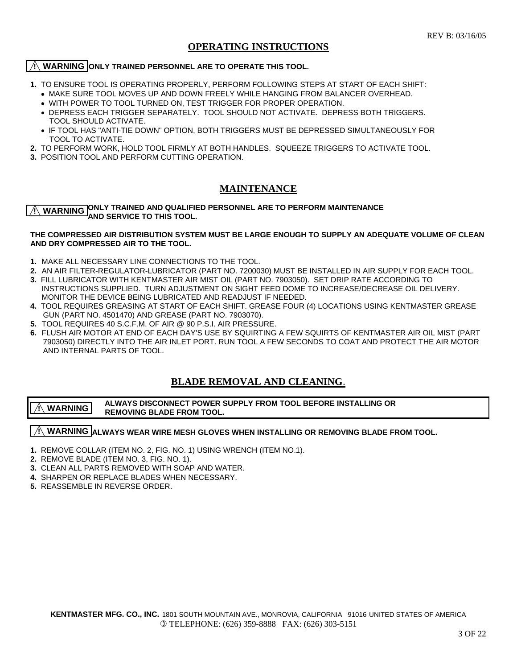#### **OPERATING INSTRUCTIONS**

#### *(I)* **WARNING ONLY TRAINED PERSONNEL ARE TO OPERATE THIS TOOL.**

- **1.** TO ENSURE TOOL IS OPERATING PROPERLY, PERFORM FOLLOWING STEPS AT START OF EACH SHIFT:
	- •MAKE SURE TOOL MOVES UP AND DOWN FREELY WHILE HANGING FROM BALANCER OVERHEAD.
	- •WITH POWER TO TOOL TURNED ON, TEST TRIGGER FOR PROPER OPERATION.
	- DEPRESS EACH TRIGGER SEPARATELY. TOOL SHOULD NOT ACTIVATE. DEPRESS BOTH TRIGGERS. TOOL SHOULD ACTIVATE.
	- IF TOOL HAS "ANTI-TIE DOWN" OPTION, BOTH TRIGGERS MUST BE DEPRESSED SIMULTANEOUSLY FOR TOOL TO ACTIVATE.
- **2.** TO PERFORM WORK, HOLD TOOL FIRMLY AT BOTH HANDLES. SQUEEZE TRIGGERS TO ACTIVATE TOOL.
- **3.** POSITION TOOL AND PERFORM CUTTING OPERATION.

#### **MAINTENANCE**

**WARNING ONLY TRAINED AND QUALIFIED PERSONNEL ARE TO PERFORM MAINTENANCE AND SERVICE TO THIS TOOL.** 

#### **THE COMPRESSED AIR DISTRIBUTION SYSTEM MUST BE LARGE ENOUGH TO SUPPLY AN ADEQUATE VOLUME OF CLEAN AND DRY COMPRESSED AIR TO THE TOOL.**

- **1.** MAKE ALL NECESSARY LINE CONNECTIONS TO THE TOOL.
- **2.** AN AIR FILTER-REGULATOR-LUBRICATOR (PART NO. 7200030) MUST BE INSTALLED IN AIR SUPPLY FOR EACH TOOL.
- **3.** FILL LUBRICATOR WITH KENTMASTER AIR MIST OIL (PART NO. 7903050). SET DRIP RATE ACCORDING TO INSTRUCTIONS SUPPLIED. TURN ADJUSTMENT ON SIGHT FEED DOME TO INCREASE/DECREASE OIL DELIVERY. MONITOR THE DEVICE BEING LUBRICATED AND READJUST IF NEEDED.
- **4.** TOOL REQUIRES GREASING AT START OF EACH SHIFT. GREASE FOUR (4) LOCATIONS USING KENTMASTER GREASE GUN (PART NO. 4501470) AND GREASE (PART NO. 7903070).
- **5.** TOOL REQUIRES 40 S.C.F.M. OF AIR @ 90 P.S.I. AIR PRESSURE.
- **6.** FLUSH AIR MOTOR AT END OF EACH DAY'S USE BY SQUIRTING A FEW SQUIRTS OF KENTMASTER AIR OIL MIST (PART 7903050) DIRECTLY INTO THE AIR INLET PORT. RUN TOOL A FEW SECONDS TO COAT AND PROTECT THE AIR MOTOR AND INTERNAL PARTS OF TOOL.

#### **BLADE REMOVAL AND CLEANING**.

#### **ALWAYS DISCONNECT POWER SUPPLY FROM TOOL BEFORE INSTALLING OR**<br>ALWARNING DIALATE FROM TOOL  **REMOVING BLADE FROM TOOL. ! WARNING**

#### $\frac{1}{\sqrt{1}}$  WARNING **ALWAYS WEAR WIRE MESH GLOVES WHEN INSTALLING** OR REMOVING BLADE FROM TOOL.

- **1.** REMOVE COLLAR (ITEM NO. 2, FIG. NO. 1) USING WRENCH (ITEM NO.1).
- **2.** REMOVE BLADE (ITEM NO. 3, FIG. NO. 1).
- **3.** CLEAN ALL PARTS REMOVED WITH SOAP AND WATER.
- **4.** SHARPEN OR REPLACE BLADES WHEN NECESSARY.
- **5.** REASSEMBLE IN REVERSE ORDER.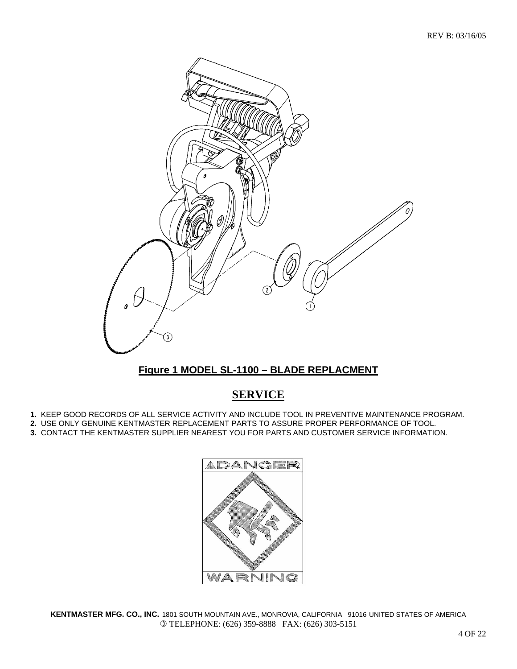

## **Figure 1 MODEL SL-1100 – BLADE REPLACMENT**

# **SERVICE**

- **1.** KEEP GOOD RECORDS OF ALL SERVICE ACTIVITY AND INCLUDE TOOL IN PREVENTIVE MAINTENANCE PROGRAM.
- **2.** USE ONLY GENUINE KENTMASTER REPLACEMENT PARTS TO ASSURE PROPER PERFORMANCE OF TOOL.
- **3.** CONTACT THE KENTMASTER SUPPLIER NEAREST YOU FOR PARTS AND CUSTOMER SERVICE INFORMATION.

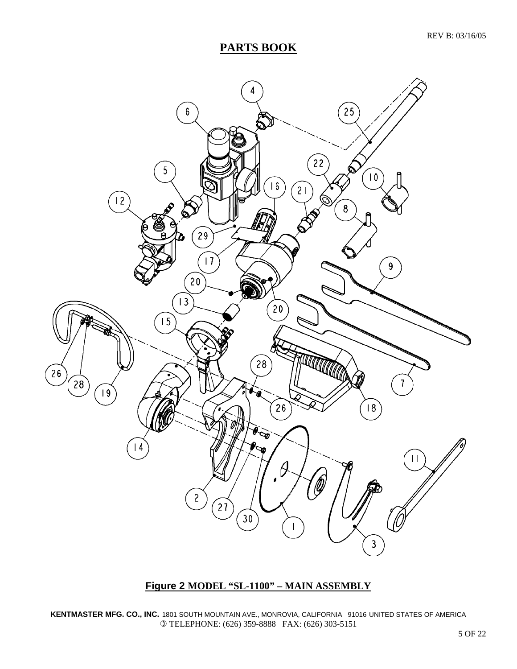# **PARTS BOOK**



## **Figure 2 MODEL "SL-1100" – MAIN ASSEMBLY**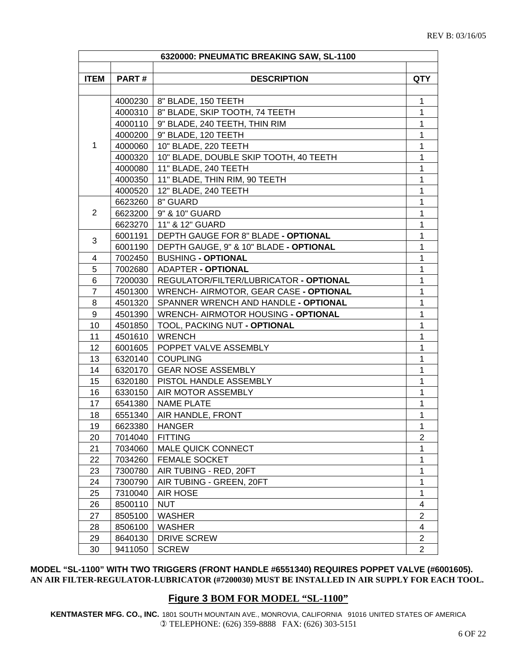|                |              | 6320000: PNEUMATIC BREAKING SAW, SL-1100 |                         |
|----------------|--------------|------------------------------------------|-------------------------|
| <b>ITEM</b>    | <b>PART#</b> | <b>DESCRIPTION</b>                       | <b>QTY</b>              |
|                |              |                                          |                         |
|                |              | 4000230   8" BLADE, 150 TEETH            | 1                       |
|                | 4000310      | 8" BLADE, SKIP TOOTH, 74 TEETH           | $\mathbf 1$             |
|                | 4000110      | 9" BLADE, 240 TEETH, THIN RIM            | 1                       |
|                | 4000200      | 9" BLADE, 120 TEETH                      | 1                       |
| 1              |              | 4000060   10" BLADE, 220 TEETH           | 1                       |
|                | 4000320      | 10" BLADE, DOUBLE SKIP TOOTH, 40 TEETH   | 1                       |
|                |              | 4000080   11" BLADE, 240 TEETH           | 1                       |
|                |              | 4000350   11" BLADE, THIN RIM, 90 TEETH  | 1                       |
|                |              | 4000520   12" BLADE, 240 TEETH           | 1                       |
|                | 6623260      | 8" GUARD                                 | 1                       |
| $\overline{2}$ | 6623200      | 9" & 10" GUARD                           | 1                       |
|                | 6623270      | 11" & 12" GUARD                          | 1                       |
|                | 6001191      | DEPTH GAUGE FOR 8" BLADE - OPTIONAL      | 1                       |
| 3              | 6001190      | DEPTH GAUGE, 9" & 10" BLADE - OPTIONAL   | 1                       |
| 4              | 7002450      | <b>BUSHING - OPTIONAL</b>                | 1                       |
| 5              | 7002680      | ADAPTER - OPTIONAL                       | 1                       |
| 6              | 7200030      | REGULATOR/FILTER/LUBRICATOR - OPTIONAL   | 1                       |
| $\overline{7}$ | 4501300      | WRENCH- AIRMOTOR, GEAR CASE - OPTIONAL   | 1                       |
| 8              | 4501320      | SPANNER WRENCH AND HANDLE - OPTIONAL     | 1                       |
| 9              | 4501390      | WRENCH- AIRMOTOR HOUSING - OPTIONAL      | 1                       |
| 10             | 4501850      | TOOL, PACKING NUT - OPTIONAL             | 1                       |
| 11             | 4501610      | WRENCH                                   | 1                       |
| 12             | 6001605      | POPPET VALVE ASSEMBLY                    | 1                       |
| 13             | 6320140      | <b>COUPLING</b>                          | 1                       |
| 14             |              | 6320170   GEAR NOSE ASSEMBLY             | 1                       |
| 15             |              | 6320180   PISTOL HANDLE ASSEMBLY         | 1                       |
| 16             | 6330150      | AIR MOTOR ASSEMBLY                       | 1                       |
| 17             | 6541380      | NAME PLATE                               | 1                       |
| 18             | 6551340      | AIR HANDLE, FRONT                        | 1                       |
| 19             | 6623380      | <b>HANGER</b>                            | 1                       |
| 20             | 7014040      | <b>FITTING</b>                           | $\overline{2}$          |
| 21             | 7034060      | MALE QUICK CONNECT                       | 1                       |
| 22             | 7034260      | <b>FEMALE SOCKET</b>                     | 1                       |
| 23             | 7300780      | AIR TUBING - RED, 20FT                   | 1                       |
| 24             | 7300790      | AIR TUBING - GREEN, 20FT                 | 1                       |
| 25             | 7310040      | <b>AIR HOSE</b>                          | 1                       |
| 26             | 8500110      | <b>NUT</b>                               | 4                       |
| 27             | 8505100      | <b>WASHER</b>                            | $\overline{\mathbf{c}}$ |
| 28             | 8506100      | WASHER                                   | 4                       |
| 29             | 8640130      | DRIVE SCREW                              | 2                       |
| 30             | 9411050      | <b>SCREW</b>                             | $\overline{2}$          |

#### **MODEL "SL-1100" WITH TWO TRIGGERS (FRONT HANDLE #6551340) REQUIRES POPPET VALVE (#6001605). AN AIR FILTER-REGULATOR-LUBRICATOR (#7200030) MUST BE INSTALLED IN AIR SUPPLY FOR EACH TOOL.**

#### **Figure 3 BOM FOR MODEL "SL-1100"**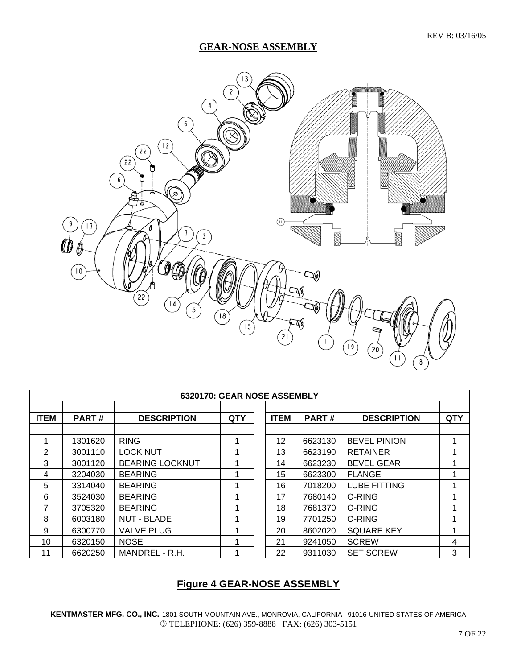#### **GEAR-NOSE ASSEMBLY**



| 6320170: GEAR NOSE ASSEMBLY |              |                        |            |  |             |              |                     |     |
|-----------------------------|--------------|------------------------|------------|--|-------------|--------------|---------------------|-----|
|                             |              |                        |            |  |             |              |                     |     |
| <b>ITEM</b>                 | <b>PART#</b> | <b>DESCRIPTION</b>     | <b>QTY</b> |  | <b>ITEM</b> | <b>PART#</b> | <b>DESCRIPTION</b>  | QTY |
|                             |              |                        |            |  |             |              |                     |     |
|                             | 1301620      | <b>RING</b>            |            |  | 12          | 6623130      | <b>BEVEL PINION</b> | 1   |
| 2                           | 3001110      | <b>LOCK NUT</b>        |            |  | 13          | 6623190      | <b>RETAINER</b>     |     |
| 3                           | 3001120      | <b>BEARING LOCKNUT</b> |            |  | 14          | 6623230      | <b>BEVEL GEAR</b>   |     |
| 4                           | 3204030      | <b>BEARING</b>         |            |  | 15          | 6623300      | <b>FLANGE</b>       | 4   |
| 5                           | 3314040      | <b>BEARING</b>         |            |  | 16          | 7018200      | <b>LUBE FITTING</b> | 1   |
| 6                           | 3524030      | <b>BEARING</b>         |            |  | 17          | 7680140      | O-RING              |     |
| 7                           | 3705320      | <b>BEARING</b>         |            |  | 18          | 7681370      | O-RING              |     |
| 8                           | 6003180      | <b>NUT - BLADE</b>     |            |  | 19          | 7701250      | O-RING              |     |
| 9                           | 6300770      | <b>VALVE PLUG</b>      |            |  | 20          | 8602020      | <b>SQUARE KEY</b>   | 1   |
| 10                          | 6320150      | <b>NOSE</b>            | 4          |  | 21          | 9241050      | <b>SCREW</b>        | 4   |
| 11                          | 6620250      | MANDREL - R.H.         |            |  | 22          | 9311030      | <b>SET SCREW</b>    | 3   |

## **Figure 4 GEAR-NOSE ASSEMBLY**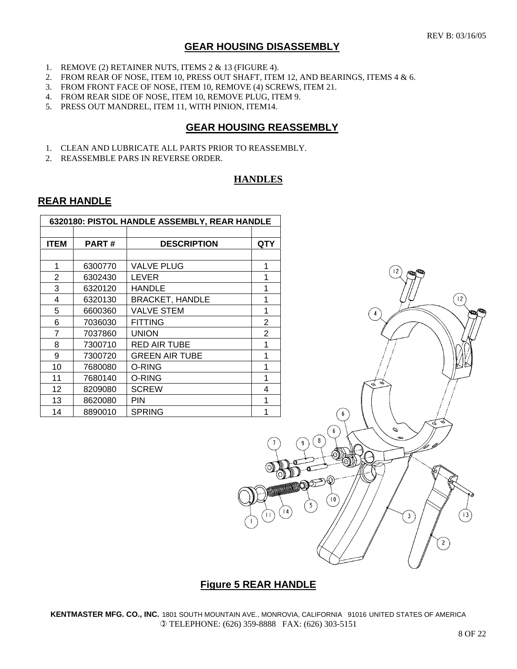#### **GEAR HOUSING DISASSEMBLY**

- 1. REMOVE (2) RETAINER NUTS, ITEMS 2 & 13 (FIGURE 4).
- 2. FROM REAR OF NOSE, ITEM 10, PRESS OUT SHAFT, ITEM 12, AND BEARINGS, ITEMS 4 & 6.
- 3. FROM FRONT FACE OF NOSE, ITEM 10, REMOVE (4) SCREWS, ITEM 21.
- 4. FROM REAR SIDE OF NOSE, ITEM 10, REMOVE PLUG, ITEM 9.
- 5. PRESS OUT MANDREL, ITEM 11, WITH PINION, ITEM14.

#### **GEAR HOUSING REASSEMBLY**

- 1. CLEAN AND LUBRICATE ALL PARTS PRIOR TO REASSEMBLY.
- 2. REASSEMBLE PARS IN REVERSE ORDER.

#### **HANDLES**

#### **REAR HANDLE**

| 6320180: PISTOL HANDLE ASSEMBLY, REAR HANDLE |              |                        |                |  |
|----------------------------------------------|--------------|------------------------|----------------|--|
|                                              |              |                        |                |  |
| <b>ITEM</b>                                  | <b>PART#</b> | <b>DESCRIPTION</b>     | QTY            |  |
|                                              |              |                        |                |  |
| 1                                            | 6300770      | <b>VALVE PLUG</b>      | 1              |  |
| 2                                            | 6302430      | <b>LEVER</b>           | 1              |  |
| 3                                            | 6320120      | <b>HANDLE</b>          | 1              |  |
| 4                                            | 6320130      | <b>BRACKET, HANDLE</b> |                |  |
| 5                                            | 6600360      | VALVE STEM             | 1              |  |
| 6                                            | 7036030      | <b>FITTING</b>         | $\overline{2}$ |  |
| 7                                            | 7037860      | <b>UNION</b>           | 2              |  |
| 8                                            | 7300710      | RED AIR TUBE           | 1              |  |
| 9                                            | 7300720      | <b>GREEN AIR TUBE</b>  |                |  |
| 10                                           | 7680080      | O-RING                 | 1              |  |
| 11                                           | 7680140      | O-RING                 |                |  |
| 12                                           | 8209080      | <b>SCREW</b>           | 4              |  |
| 13                                           | 8620080      | PIN                    | 1              |  |
| 14                                           | 8890010      | <b>SPRING</b>          | 1              |  |



#### **Figure 5 REAR HANDLE**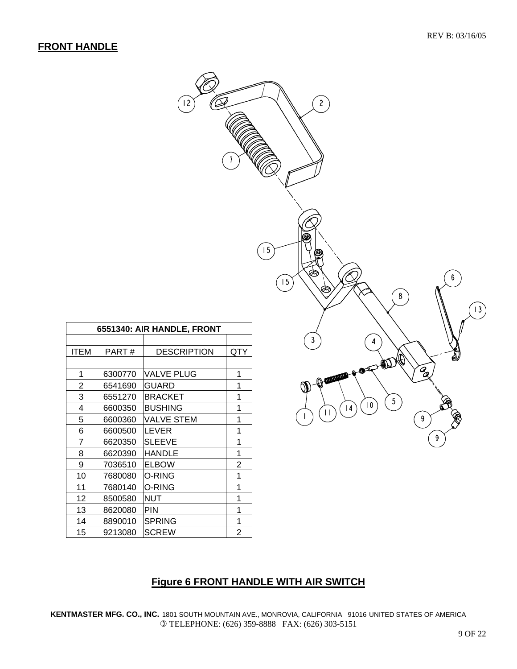#### **FRONT HANDLE**

| $\left  \frac{1}{2} \right $<br>$\epsilon$ | $\overline{\mathfrak{z}}$  | $\overline{c}$<br>⊜<br>15<br>ⅇ<br>Ġ<br>$\boldsymbol{6}$<br>$\overline{15}$<br>È<br>8<br>$ 3\rangle$ |
|--------------------------------------------|----------------------------|-----------------------------------------------------------------------------------------------------|
| <b>ILE, FRONT</b>                          |                            |                                                                                                     |
| <b>CRIPTION</b>                            | QTY                        | $\mathfrak{z}$<br>$\overline{4}$<br>\$<br>(R)<br>$\mathbb{Q}$                                       |
| <b>PLUG</b>                                | $\mathbf 1$                | ã<br>$\mathbb{R}$<br>⊕<br>$\theta$ and $\theta$                                                     |
|                                            | $\mathbf 1$                | $\emptyset$                                                                                         |
| $E$ T                                      | $\mathbf 1$                | $\left( 5\right)$<br>x                                                                              |
| $\overline{G}$                             | $\mathbf 1$                | $\left  10 \right\rangle$<br>$\left  1 \right $<br>$\perp$<br>$\mathsf I$                           |
| <u>STEM</u>                                | $\mathbf 1$                | 9                                                                                                   |
|                                            | $\mathbf 1$<br>$\mathbf 1$ | 9                                                                                                   |
| $\frac{1}{1}$                              | $\mathbf{1}$               |                                                                                                     |
|                                            | $\overline{\phantom{a}}$   |                                                                                                     |

| 6551340: AIR HANDLE, FRONT |         |                    |     |  |
|----------------------------|---------|--------------------|-----|--|
|                            |         |                    |     |  |
| ITEM                       | PART#   | <b>DESCRIPTION</b> | QTY |  |
|                            |         |                    |     |  |
| 1                          | 6300770 | VALVE PLUG         | 1   |  |
| 2                          | 6541690 | <b>GUARD</b>       | 1   |  |
| 3                          | 6551270 | BRACKET            | 1   |  |
| 4                          | 6600350 | <b>BUSHING</b>     | 1   |  |
| 5                          | 6600360 | VALVE STEM         | 1   |  |
| 6                          | 6600500 | LEVER              | 1   |  |
| 7                          | 6620350 | <b>SLEEVE</b>      | 1   |  |
| 8                          | 6620390 | HANDLE             | 1   |  |
| 9                          | 7036510 | <b>ELBOW</b>       | 2   |  |
| 10                         | 7680080 | O-RING             | 1   |  |
| 11                         | 7680140 | O-RING             | 1   |  |
| 12                         | 8500580 | NUT                | 1   |  |
| 13                         | 8620080 | PIN                | 1   |  |
| 14                         | 8890010 | SPRING             | 1   |  |
| 15                         | 9213080 | <b>SCREW</b>       | 2   |  |

# **Figure 6 FRONT HANDLE WITH AIR SWITCH**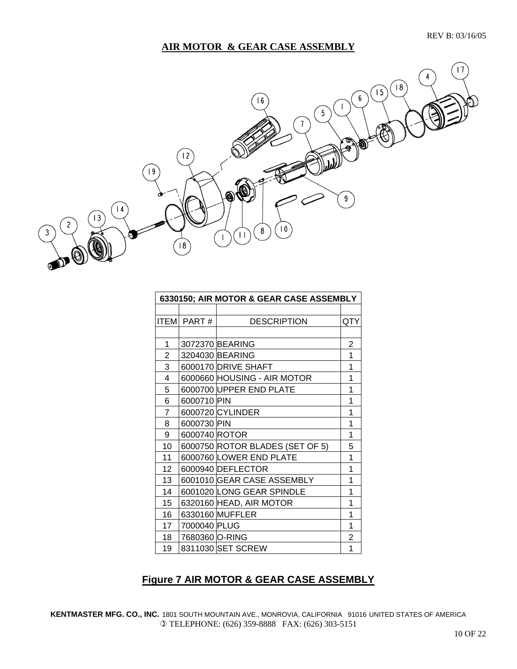## **AIR MOTOR & GEAR CASE ASSEMBLY**



| 6330150; AIR MOTOR & GEAR CASE ASSEMBLY |                |                                 |     |
|-----------------------------------------|----------------|---------------------------------|-----|
|                                         |                |                                 |     |
|                                         | ITEM  PART #   | <b>DESCRIPTION</b>              | QTY |
|                                         |                |                                 |     |
| 1                                       |                | 3072370 BEARING                 | 2   |
| 2                                       |                | 3204030 BEARING                 | 1   |
| 3                                       |                | 6000170 DRIVE SHAFT             | 1   |
| $\overline{4}$                          |                | 6000660 HOUSING - AIR MOTOR     | 1   |
| 5                                       |                | 6000700 UPPER END PLATE         | 1   |
| 6                                       | 6000710 PIN    |                                 | 1   |
| 7                                       |                | 6000720 CYLINDER                | 1   |
| 8                                       | 6000730 PIN    |                                 | 1   |
| 9                                       | 6000740 ROTOR  |                                 | 1   |
| 10                                      |                | 6000750 ROTOR BLADES (SET OF 5) | 5   |
| 11                                      |                | 6000760 LOWER END PLATE         | 1   |
| 12                                      |                | 6000940 DEFLECTOR               | 1   |
| 13                                      |                | 6001010 GEAR CASE ASSEMBLY      | 1   |
| 14                                      |                | 6001020 LONG GEAR SPINDLE       | 1   |
| 15                                      |                | 6320160 HEAD, AIR MOTOR         | 1   |
| 16                                      |                | 6330160 MUFFLER                 | 1   |
| 17                                      | 7000040 PLUG   |                                 | 1   |
| 18                                      | 7680360 O-RING |                                 | 2   |
| 19                                      |                | 8311030 SET SCREW               | 1   |

## **Figure 7 AIR MOTOR & GEAR CASE ASSEMBLY**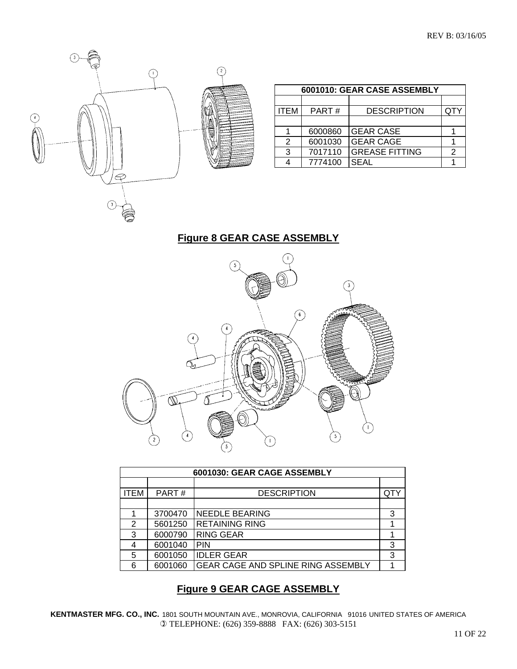

|      |         | 6001010: GEAR CASE ASSEMBLY |  |
|------|---------|-----------------------------|--|
|      |         |                             |  |
| ITEM | PART#   | <b>DESCRIPTION</b>          |  |
|      |         |                             |  |
|      | 6000860 | <b>GEAR CASE</b>            |  |
| 2    | 6001030 | <b>GEAR CAGE</b>            |  |
| 3    | 7017110 | <b>GREASE FITTING</b>       |  |
|      | 7774100 | <b>SEAL</b>                 |  |

# **Figure 8 GEAR CASE ASSEMBLY**



| 6001030: GEAR CAGE ASSEMBLY |         |                                           |     |
|-----------------------------|---------|-------------------------------------------|-----|
|                             |         |                                           |     |
| <b>ITEM</b>                 | PART#   | <b>DESCRIPTION</b>                        | QTY |
|                             |         |                                           |     |
|                             | 3700470 | <b>NEEDLE BEARING</b>                     | 3   |
| 2                           | 5601250 | <b>RETAINING RING</b>                     |     |
| 3                           | 6000790 | <b>RING GEAR</b>                          |     |
| 4                           | 6001040 | <b>PIN</b>                                | 3   |
| 5                           | 6001050 | <b>IDLER GEAR</b>                         | 3   |
| 6                           | 6001060 | <b>GEAR CAGE AND SPLINE RING ASSEMBLY</b> |     |

# **Figure 9 GEAR CAGE ASSEMBLY**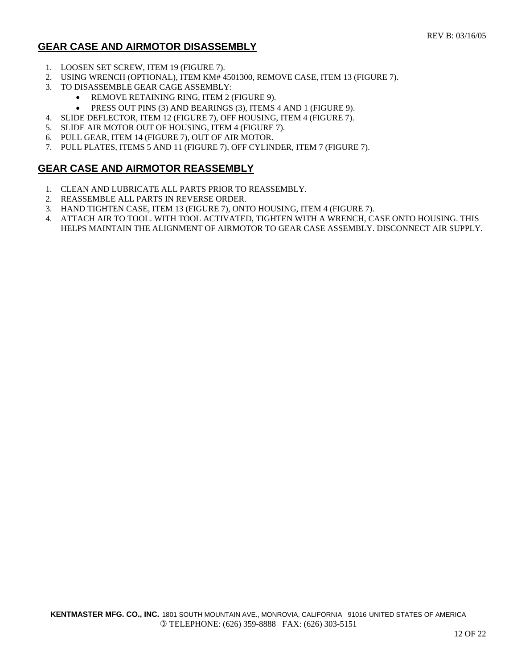## **GEAR CASE AND AIRMOTOR DISASSEMBLY**

- 1. LOOSEN SET SCREW, ITEM 19 (FIGURE 7).
- 2. USING WRENCH (OPTIONAL), ITEM KM# 4501300, REMOVE CASE, ITEM 13 (FIGURE 7).
- 3. TO DISASSEMBLE GEAR CAGE ASSEMBLY:
	- REMOVE RETAINING RING, ITEM 2 (FIGURE 9).
	- PRESS OUT PINS (3) AND BEARINGS (3), ITEMS 4 AND 1 (FIGURE 9).
- 4. SLIDE DEFLECTOR, ITEM 12 (FIGURE 7), OFF HOUSING, ITEM 4 (FIGURE 7).
- 5. SLIDE AIR MOTOR OUT OF HOUSING, ITEM 4 (FIGURE 7).
- 6. PULL GEAR, ITEM 14 (FIGURE 7), OUT OF AIR MOTOR.
- 7. PULL PLATES, ITEMS 5 AND 11 (FIGURE 7), OFF CYLINDER, ITEM 7 (FIGURE 7).

#### **GEAR CASE AND AIRMOTOR REASSEMBLY**

- 1. CLEAN AND LUBRICATE ALL PARTS PRIOR TO REASSEMBLY.
- 2. REASSEMBLE ALL PARTS IN REVERSE ORDER.
- 3. HAND TIGHTEN CASE, ITEM 13 (FIGURE 7), ONTO HOUSING, ITEM 4 (FIGURE 7).
- 4. ATTACH AIR TO TOOL. WITH TOOL ACTIVATED, TIGHTEN WITH A WRENCH, CASE ONTO HOUSING. THIS HELPS MAINTAIN THE ALIGNMENT OF AIRMOTOR TO GEAR CASE ASSEMBLY. DISCONNECT AIR SUPPLY.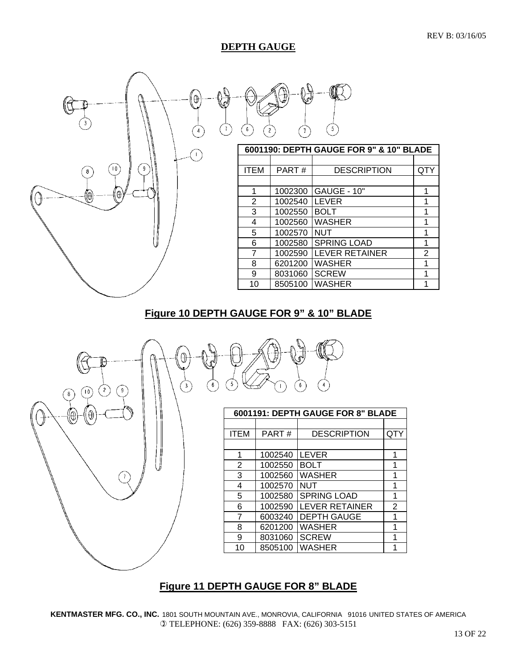#### **DEPTH GAUGE**



## **Figure 10 DEPTH GAUGE FOR 9" & 10" BLADE**



## **Figure 11 DEPTH GAUGE FOR 8" BLADE**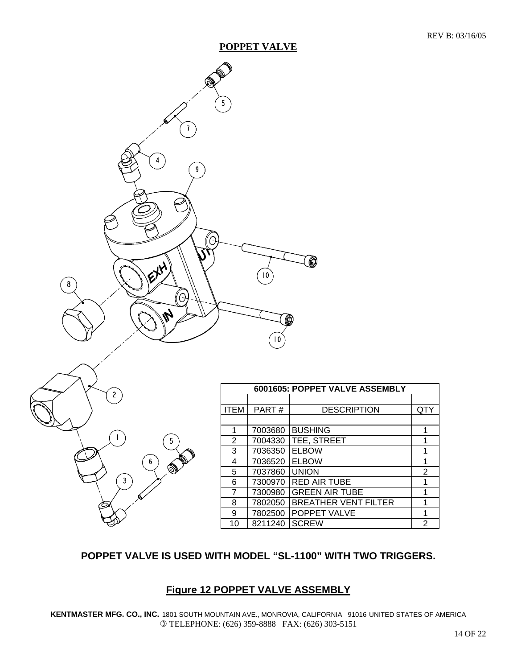#### **POPPET VALVE**





|                |         | 6001605: POPPET VALVE ASSEMBLY |     |
|----------------|---------|--------------------------------|-----|
|                |         |                                |     |
| <b>ITEM</b>    | PART#   | <b>DESCRIPTION</b>             | QTY |
|                |         |                                |     |
| 1              | 7003680 | <b>BUSHING</b>                 | 1   |
| 2              | 7004330 | TEE, STREET                    | 1   |
| 3              | 7036350 | <b>ELBOW</b>                   | 1   |
| 4              | 7036520 | <b>ELBOW</b>                   | 1   |
| 5              | 7037860 | <b>UNION</b>                   | 2   |
| 6              | 7300970 | <b>RED AIR TUBE</b>            | 1   |
| $\overline{7}$ | 7300980 | <b>GREEN AIR TUBE</b>          | 1   |
| 8              | 7802050 | <b>BREATHER VENT FILTER</b>    | 1   |
| 9              | 7802500 | POPPET VALVE                   | 1   |
| 10             | 8211240 | <b>SCREW</b>                   | 2   |

# **POPPET VALVE IS USED WITH MODEL "SL-1100" WITH TWO TRIGGERS.**

#### **Figure 12 POPPET VALVE ASSEMBLY**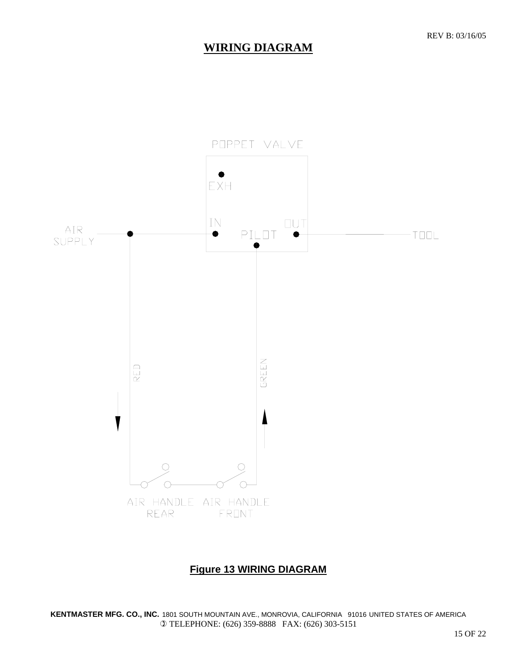# **WIRING DIAGRAM**



## **Figure 13 WIRING DIAGRAM**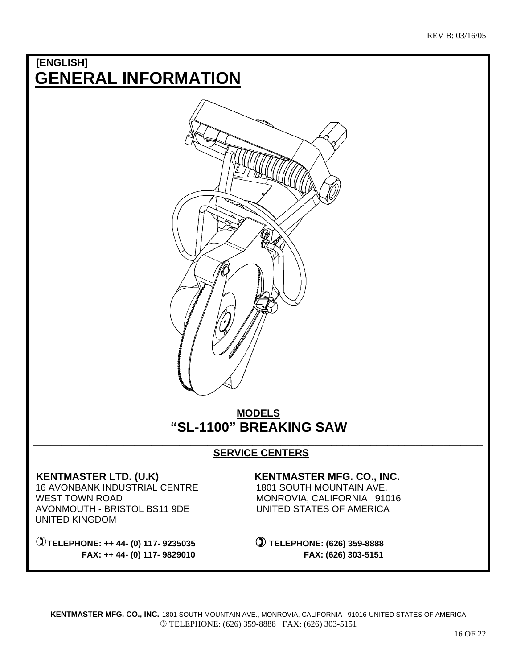# **[ENGLISH] GENERAL INFORMATION**



# **MODELS "SL-1100" BREAKING SAW**

#### **\_\_\_\_\_\_\_\_\_\_\_\_\_\_\_\_\_\_\_\_\_\_\_\_\_\_\_\_\_\_\_\_\_\_\_\_\_\_\_\_\_\_\_\_\_\_\_\_\_\_\_\_\_\_\_\_\_\_\_\_\_\_\_\_\_\_\_\_\_\_\_\_\_\_\_\_\_\_\_\_ SERVICE CENTERS**

 16 AVONBANK INDUSTRIAL CENTRE 1801 SOUTH MOUNTAIN AVE. WEST TOWN ROAD MONROVIA, CALIFORNIA 91016 AVONMOUTH - BRISTOL BS11 9DE UNITED STATES OF AMERICA UNITED KINGDOM

 **TELEPHONE: ++ 44- (0) 117- 9235035 TELEPHONE: (626) 359-8888 FAX: ++ 44- (0) 117- 9829010 FAX: (626) 303-5151** 

#### KENTMASTER LTD. (U.K) **KENTMASTER MFG. CO., INC.**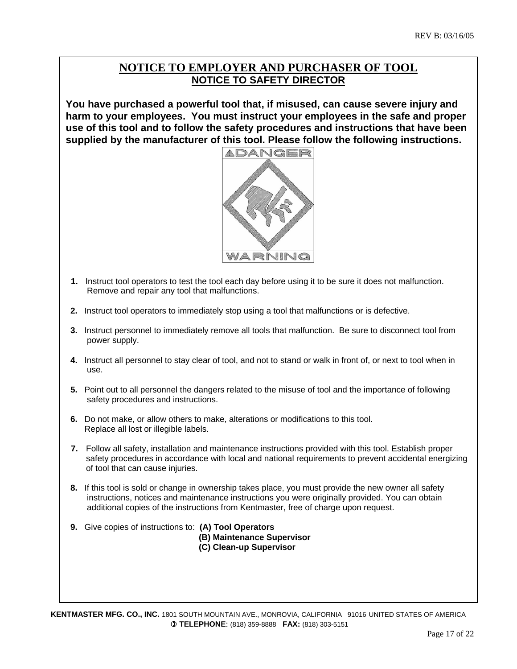## **NOTICE TO EMPLOYER AND PURCHASER OF TOOL NOTICE TO SAFETY DIRECTOR**

**You have purchased a powerful tool that, if misused, can cause severe injury and harm to your employees. You must instruct your employees in the safe and proper use of this tool and to follow the safety procedures and instructions that have been supplied by the manufacturer of this tool. Please follow the following instructions.** 



- **1.** Instruct tool operators to test the tool each day before using it to be sure it does not malfunction. Remove and repair any tool that malfunctions.
- **2.** Instruct tool operators to immediately stop using a tool that malfunctions or is defective.
- **3.** Instruct personnel to immediately remove all tools that malfunction. Be sure to disconnect tool from power supply.
- **4.** Instruct all personnel to stay clear of tool, and not to stand or walk in front of, or next to tool when in use.
- **5.** Point out to all personnel the dangers related to the misuse of tool and the importance of following safety procedures and instructions.
- **6.** Do not make, or allow others to make, alterations or modifications to this tool. Replace all lost or illegible labels.
- **7.** Follow all safety, installation and maintenance instructions provided with this tool. Establish proper safety procedures in accordance with local and national requirements to prevent accidental energizing of tool that can cause injuries.
- **8.** If this tool is sold or change in ownership takes place, you must provide the new owner all safety instructions, notices and maintenance instructions you were originally provided. You can obtain additional copies of the instructions from Kentmaster, free of charge upon request.
- **9.** Give copies of instructions to: **(A) Tool Operators (B) Maintenance Supervisor (C) Clean-up Supervisor**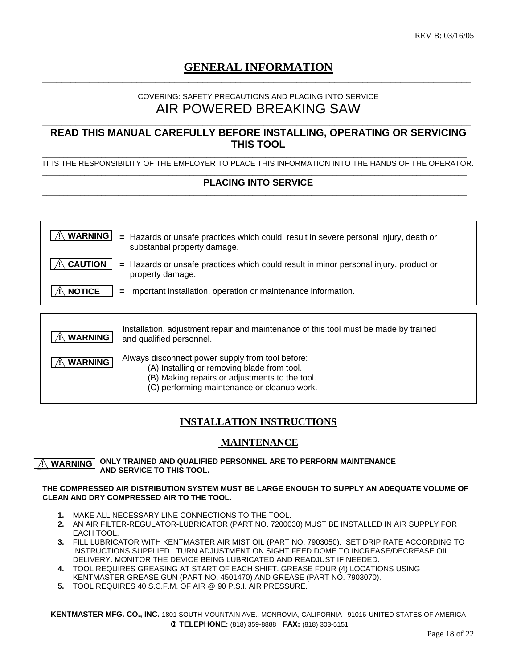#### **GENERAL INFORMATION**  $\_$  , and the set of the set of the set of the set of the set of the set of the set of the set of the set of the set of the set of the set of the set of the set of the set of the set of the set of the set of the set of th

#### COVERING: SAFETY PRECAUTIONS AND PLACING INTO SERVICE AIR POWERED BREAKING SAW

**\_\_\_\_\_\_\_\_\_\_\_\_\_\_\_\_\_\_\_\_\_\_\_\_\_\_\_\_\_\_\_\_\_\_\_\_\_\_\_\_\_\_\_\_\_\_\_\_\_\_\_\_\_\_\_\_\_\_\_\_\_\_\_\_\_\_\_\_\_\_\_\_\_\_\_\_\_\_\_\_\_\_\_\_\_\_\_\_\_\_\_** 

#### **READ THIS MANUAL CAREFULLY BEFORE INSTALLING, OPERATING OR SERVICING THIS TOOL**

**\_\_\_\_\_\_\_\_\_\_\_\_\_\_\_\_\_\_\_\_\_\_\_\_\_\_\_\_\_\_\_\_\_\_\_\_\_\_\_\_\_\_\_\_\_\_\_\_\_\_\_\_\_\_\_\_\_\_\_\_\_\_\_\_\_\_\_\_\_\_\_\_\_\_\_\_\_\_\_\_\_\_\_\_\_\_\_\_\_\_\_\_\_\_\_\_\_\_\_\_\_**  IT IS THE RESPONSIBILITY OF THE EMPLOYER TO PLACE THIS INFORMATION INTO THE HANDS OF THE OPERATOR.

#### **\_\_\_\_\_\_\_\_\_\_\_\_\_\_\_\_\_\_\_\_\_\_\_\_\_\_\_\_\_\_\_\_\_\_\_\_\_\_\_\_\_\_\_\_\_\_\_\_\_\_\_\_\_\_\_\_\_\_\_\_\_\_\_\_\_\_\_\_\_\_\_\_\_\_\_\_\_\_\_\_\_\_\_\_\_\_\_\_\_\_\_\_\_\_\_\_\_\_\_\_\_ PLACING INTO SERVICE \_\_\_\_\_\_\_\_\_\_\_\_\_\_\_\_\_\_\_\_\_\_\_\_\_\_\_\_\_\_\_\_\_\_\_\_\_\_\_\_\_\_\_\_\_\_\_\_\_\_\_\_\_\_\_\_\_\_\_\_\_\_\_\_\_\_\_\_\_\_\_\_\_\_\_\_\_\_\_\_\_\_\_\_\_\_\_\_\_\_\_\_\_\_\_\_\_\_\_\_\_**

| <b>WARNING</b> | Hazards or unsafe practices which could result in severe personal injury, death or<br>$=$<br>substantial property damage.                         |
|----------------|---------------------------------------------------------------------------------------------------------------------------------------------------|
| <b>CAUTION</b> | Hazards or unsafe practices which could result in minor personal injury, product or<br>$=$<br>property damage.                                    |
| <b>NOTICE</b>  | Important installation, operation or maintenance information.<br>$=$                                                                              |
|                |                                                                                                                                                   |
| <b>WARNING</b> | Installation, adjustment repair and maintenance of this tool must be made by trained<br>and qualified personnel.                                  |
| <b>WARNING</b> | Always disconnect power supply from tool before:<br>(A) Installing or removing blade from tool.<br>(B) Making repairs or adjustments to the tool. |

#### (C) performing maintenance or cleanup work.

#### **INSTALLATION INSTRUCTIONS**

#### **MAINTENANCE**

#### **ONLY TRAINED AND QUALIFIED PERSONNEL ARE TO PERFORM MAINTENANCE AND SERVICE TO THIS TOOL. ! WARNING**

#### **THE COMPRESSED AIR DISTRIBUTION SYSTEM MUST BE LARGE ENOUGH TO SUPPLY AN ADEQUATE VOLUME OF CLEAN AND DRY COMPRESSED AIR TO THE TOOL.**

- **1.** MAKE ALL NECESSARY LINE CONNECTIONS TO THE TOOL.
- **2.** AN AIR FILTER-REGULATOR-LUBRICATOR (PART NO. 7200030) MUST BE INSTALLED IN AIR SUPPLY FOR EACH TOOL.
- **3.** FILL LUBRICATOR WITH KENTMASTER AIR MIST OIL (PART NO. 7903050). SET DRIP RATE ACCORDING TO INSTRUCTIONS SUPPLIED. TURN ADJUSTMENT ON SIGHT FEED DOME TO INCREASE/DECREASE OIL DELIVERY. MONITOR THE DEVICE BEING LUBRICATED AND READJUST IF NEEDED.
- **4.** TOOL REQUIRES GREASING AT START OF EACH SHIFT. GREASE FOUR (4) LOCATIONS USING KENTMASTER GREASE GUN (PART NO. 4501470) AND GREASE (PART NO. 7903070).
- **5.** TOOL REQUIRES 40 S.C.F.M. OF AIR @ 90 P.S.I. AIR PRESSURE.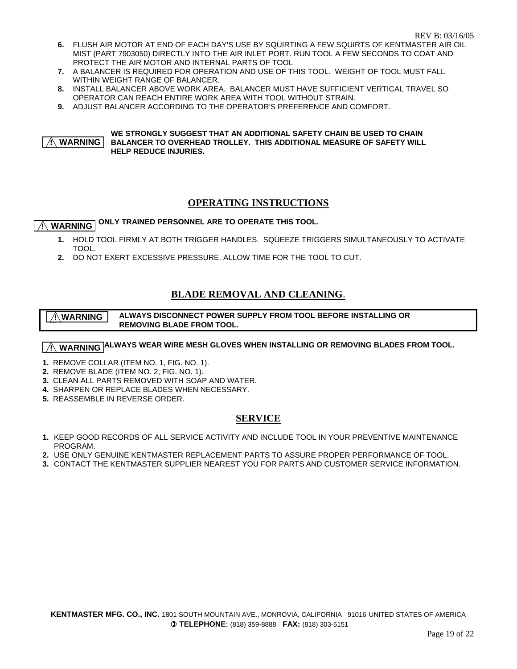- **6.** FLUSH AIR MOTOR AT END OF EACH DAY'S USE BY SQUIRTING A FEW SQUIRTS OF KENTMASTER AIR OIL MIST (PART 7903050) DIRECTLY INTO THE AIR INLET PORT. RUN TOOL A FEW SECONDS TO COAT AND PROTECT THE AIR MOTOR AND INTERNAL PARTS OF TOOL
- **7.** A BALANCER IS REQUIRED FOR OPERATION AND USE OF THIS TOOL. WEIGHT OF TOOL MUST FALL WITHIN WEIGHT RANGE OF BALANCER.
- **8.** INSTALL BALANCER ABOVE WORK AREA. BALANCER MUST HAVE SUFFICIENT VERTICAL TRAVEL SO OPERATOR CAN REACH ENTIRE WORK AREA WITH TOOL WITHOUT STRAIN.
- **9.** ADJUST BALANCER ACCORDING TO THE OPERATOR'S PREFERENCE AND COMFORT.

#### **WE STRONGLY SUGGEST THAT AN ADDITIONAL SAFETY CHAIN BE USED TO CHAIN BALANCER TO OVERHEAD TROLLEY. THIS ADDITIONAL MEASURE OF SAFETY WILL HELP REDUCE INJURIES. ! WARNING**

#### **OPERATING INSTRUCTIONS**

# **WARNING** ONLY TRAINED PERSONNEL ARE TO OPERATE THIS TOOL.

- **1.** HOLD TOOL FIRMLY AT BOTH TRIGGER HANDLES. SQUEEZE TRIGGERS SIMULTANEOUSLY TO ACTIVATE TOOL.
- **2.** DO NOT EXERT EXCESSIVE PRESSURE. ALLOW TIME FOR THE TOOL TO CUT.

#### **BLADE REMOVAL AND CLEANING**.

 **ALWAYS DISCONNECT POWER SUPPLY FROM TOOL BEFORE INSTALLING OR REMOVING BLADE FROM TOOL. ! WARNING**

## $\boxed{{\wedge}$  WARNING  $\boxed{{\sf ALWAYS}}$  WEAR WIRE MESH GLOVES WHEN INSTALLING OR REMOVING BLADES FROM TOOL.

- **1.** REMOVE COLLAR (ITEM NO. 1, FIG. NO. 1).
- **2.** REMOVE BLADE (ITEM NO. 2, FIG. NO. 1).
- **3.** CLEAN ALL PARTS REMOVED WITH SOAP AND WATER.
- **4.** SHARPEN OR REPLACE BLADES WHEN NECESSARY.
- **5.** REASSEMBLE IN REVERSE ORDER.

#### **SERVICE**

- **1.** KEEP GOOD RECORDS OF ALL SERVICE ACTIVITY AND INCLUDE TOOL IN YOUR PREVENTIVE MAINTENANCE PROGRAM.
- **2.** USE ONLY GENUINE KENTMASTER REPLACEMENT PARTS TO ASSURE PROPER PERFORMANCE OF TOOL.
- **3.** CONTACT THE KENTMASTER SUPPLIER NEAREST YOU FOR PARTS AND CUSTOMER SERVICE INFORMATION.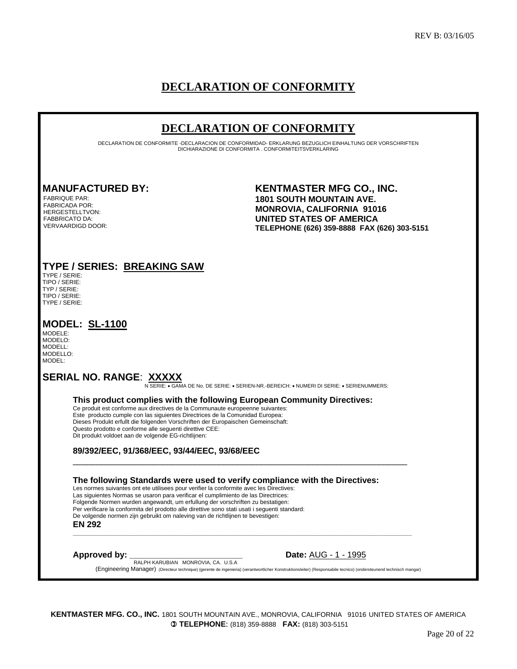# **DECLARATION OF CONFORMITY**

# **DECLARATION OF CONFORMITY**

DECLARATION DE CONFORMITE -DECLARACION DE CONFORMIDAD- ERKLARUNG BEZUGLICH EINHALTUNG DER VORSCHRIFTEN DICHIARAZIONE DI CONFORMITA . CONFORMITEITSVERKLARING

FABRIQUE PAR: FABRICADA POR: HERGESTELLTVON: FABBRICATO DA: VERVAARDIGD DOOR:

#### **MANUFACTURED BY: KENTMASTER MFG CO., INC. 1801 SOUTH MOUNTAIN AVE. MONROVIA, CALIFORNIA 91016 UNITED STATES OF AMERICA TELEPHONE (626) 359-8888 FAX (626) 303-5151**

## **TYPE / SERIES: BREAKING SAW**

TYPE / SERIE: TIPO / SERIE: TYP / SERIE: TIPO / SERIE: TYPE / SERIE:

#### **MODEL: SL-1100**

MODELE: MODELO: MODELL: MODELLO: MODEL:

**SERIAL NO. RANGE**: **XXXXX** N SERIE: • GAMA DE No. DE SERIE: • SERIEN-NR.-BEREICH: • NUMERI DI SERIE: • SERIENUMMERS:

**This product complies with the following European Community Directives:** 

\_\_\_\_\_\_\_\_\_\_\_\_\_\_\_\_\_\_\_\_\_\_\_\_\_\_\_\_\_\_\_\_\_\_\_\_\_\_\_\_\_\_\_\_\_\_\_\_\_\_\_\_\_\_\_\_\_\_\_\_\_\_\_\_\_\_\_\_\_\_\_

**\_\_\_\_\_\_\_\_\_\_\_\_\_\_\_\_\_\_\_\_\_\_\_\_\_\_\_\_\_\_\_\_\_\_\_\_\_\_\_\_\_\_\_\_\_\_\_\_\_\_\_\_\_\_\_\_\_\_\_\_\_\_\_\_\_\_\_\_\_\_\_\_\_\_\_\_\_\_\_\_\_\_\_\_\_\_\_\_\_\_\_\_\_\_\_\_\_\_\_\_\_\_\_** 

Ce produit est conforme aux directives de la Communaute europeenne suivantes: Este producto cumple con las siguientes Directrices de la Comunidad Europea: Dieses Produkt erfullt die folgenden Vorschriften der Europaischen Gemeinschaft: Questo prodotto e conforme alle seguenti direttive CEE: Dit produkt voldoet aan de volgende EG-richtlijnen:

#### **89/392/EEC, 91/368/EEC, 93/44/EEC, 93/68/EEC**

 **The following Standards were used to verify compliance with the Directives:**  Les normes suivantes ont ete utilisees pour verifier la conformite avec les Directives: Las siguientes Normas se usaron para verificar el cumplimiento de las Directrices: Folgende Normen wurden angewandt, um erfullung der vorschriften zu bestatigen: Per verificare la conformita del prodotto alle direttive sono stati usati i seguenti standard: De volgende normen zijn gebruikt om naleving van de richtlijnen te bevestigen: **EN 292**

**Approved by:** <u>RALPH KARUBIAN MONROVIA, CA. U.S.A</u> **Date:** <u>AUG - 1 - 1995</u> **Date: AUG** - 1 - 1995 (Engineering Manager) (Directeur technique) (gerente de ingenieria) (verantwortlicher Konstruktionsleiter) (Responsabile tecnico) (ondersteunend technisch mangar)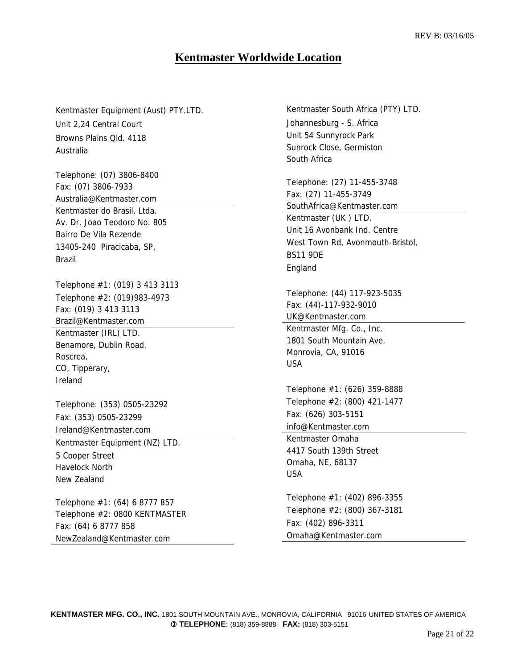## **Kentmaster Worldwide Location**

Kentmaster Equipment (Aust) PTY.LTD. Unit 2,24 Central Court Browns Plains Qld. 4118 Australia

Telephone: (07) 3806-8400 Fax: (07) 3806-7933 Australia@Kentmaster.com Kentmaster do Brasil, Ltda. Av. Dr. Joao Teodoro No. 805 Bairro De Vila Rezende 13405-240 Piracicaba, SP, Brazil

Telephone #1: (019) 3 413 3113 Telephone #2: (019)983-4973 Fax: (019) 3 413 3113 Brazil@Kentmaster.com Kentmaster (IRL) LTD. Benamore, Dublin Road. Roscrea, CO, Tipperary, Ireland

Telephone: (353) 0505-23292 Fax: (353) 0505-23299 Ireland@Kentmaster.com

Kentmaster Equipment (NZ) LTD. 5 Cooper Street Havelock North New Zealand

Telephone #1: (64) 6 8777 857 Telephone #2: 0800 KENTMASTER Fax: (64) 6 8777 858 NewZealand@Kentmaster.com

Kentmaster South Africa (PTY) LTD. Johannesburg - S. Africa Unit 54 Sunnyrock Park Sunrock Close, Germiston South Africa

Telephone: (27) 11-455-3748 Fax: (27) 11-455-3749 SouthAfrica@Kentmaster.com Kentmaster (UK ) LTD. Unit 16 Avonbank Ind. Centre West Town Rd, Avonmouth-Bristol, BS11 9DE

Telephone: (44) 117-923-5035 Fax: (44)-117-932-9010 UK@Kentmaster.com

Kentmaster Mfg. Co., Inc. 1801 South Mountain Ave. Monrovia, CA, 91016 USA

England

Telephone #1: (626) 359-8888 Telephone #2: (800) 421-1477 Fax: (626) 303-5151 info@Kentmaster.com

Kentmaster Omaha 4417 South 139th Street Omaha, NE, 68137 USA

Telephone #1: (402) 896-3355 Telephone #2: (800) 367-3181 Fax: (402) 896-3311 Omaha@Kentmaster.com